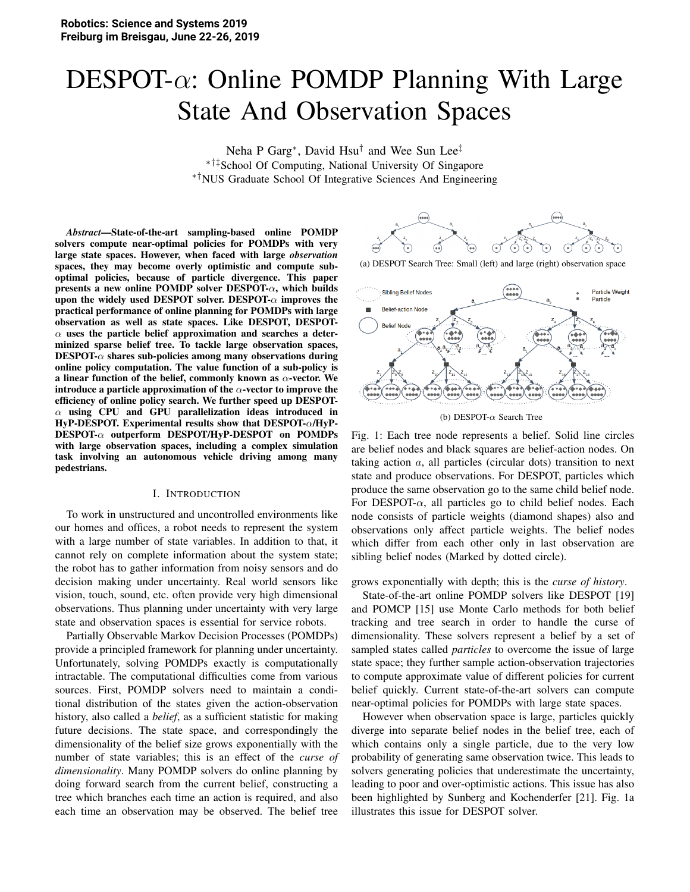# $DESPOT-\alpha$ : Online POMDP Planning With Large State And Observation Spaces

Neha P Garg\*, David Hsu<sup>†</sup> and Wee Sun Lee<sup>‡</sup> ∗†‡School Of Computing, National University Of Singapore ∗†NUS Graduate School Of Integrative Sciences And Engineering

*Abstract*—State-of-the-art sampling-based online POMDP solvers compute near-optimal policies for POMDPs with very large state spaces. However, when faced with large *observation* spaces, they may become overly optimistic and compute suboptimal policies, because of particle divergence. This paper presents a new online POMDP solver  $\text{DESPOT-}\alpha$ , which builds upon the widely used DESPOT solver. DESPOT- $\alpha$  improves the practical performance of online planning for POMDPs with large observation as well as state spaces. Like DESPOT, DESPOT- $\alpha$  uses the particle belief approximation and searches a determinized sparse belief tree. To tackle large observation spaces,  $\mathrm{DESPOT}\text{-}\alpha$  shares sub-policies among many observations during online policy computation. The value function of a sub-policy is a linear function of the belief, commonly known as  $\alpha$ -vector. We introduce a particle approximation of the  $\alpha$ -vector to improve the efficiency of online policy search. We further speed up DESPOT- $\alpha$  using CPU and GPU parallelization ideas introduced in HyP-DESPOT. Experimental results show that DESPOT-α/HyP-DESPOT-α outperform DESPOT/HyP-DESPOT on POMDPs with large observation spaces, including a complex simulation task involving an autonomous vehicle driving among many pedestrians.

#### I. INTRODUCTION

To work in unstructured and uncontrolled environments like our homes and offices, a robot needs to represent the system with a large number of state variables. In addition to that, it cannot rely on complete information about the system state; the robot has to gather information from noisy sensors and do decision making under uncertainty. Real world sensors like vision, touch, sound, etc. often provide very high dimensional observations. Thus planning under uncertainty with very large state and observation spaces is essential for service robots.

Partially Observable Markov Decision Processes (POMDPs) provide a principled framework for planning under uncertainty. Unfortunately, solving POMDPs exactly is computationally intractable. The computational difficulties come from various sources. First, POMDP solvers need to maintain a conditional distribution of the states given the action-observation history, also called a *belief*, as a sufficient statistic for making future decisions. The state space, and correspondingly the dimensionality of the belief size grows exponentially with the number of state variables; this is an effect of the *curse of dimensionality*. Many POMDP solvers do online planning by doing forward search from the current belief, constructing a tree which branches each time an action is required, and also each time an observation may be observed. The belief tree



(a) DESPOT Search Tree: Small (left) and large (right) observation space



(b) DESPOT- $\alpha$  Search Tree

Fig. 1: Each tree node represents a belief. Solid line circles are belief nodes and black squares are belief-action nodes. On taking action a, all particles (circular dots) transition to next state and produce observations. For DESPOT, particles which produce the same observation go to the same child belief node. For DESPOT- $\alpha$ , all particles go to child belief nodes. Each node consists of particle weights (diamond shapes) also and observations only affect particle weights. The belief nodes which differ from each other only in last observation are sibling belief nodes (Marked by dotted circle).

grows exponentially with depth; this is the *curse of history*.

State-of-the-art online POMDP solvers like DESPOT [19] and POMCP [15] use Monte Carlo methods for both belief tracking and tree search in order to handle the curse of dimensionality. These solvers represent a belief by a set of sampled states called *particles* to overcome the issue of large state space; they further sample action-observation trajectories to compute approximate value of different policies for current belief quickly. Current state-of-the-art solvers can compute near-optimal policies for POMDPs with large state spaces.

However when observation space is large, particles quickly diverge into separate belief nodes in the belief tree, each of which contains only a single particle, due to the very low probability of generating same observation twice. This leads to solvers generating policies that underestimate the uncertainty, leading to poor and over-optimistic actions. This issue has also been highlighted by Sunberg and Kochenderfer [21]. Fig. 1a illustrates this issue for DESPOT solver.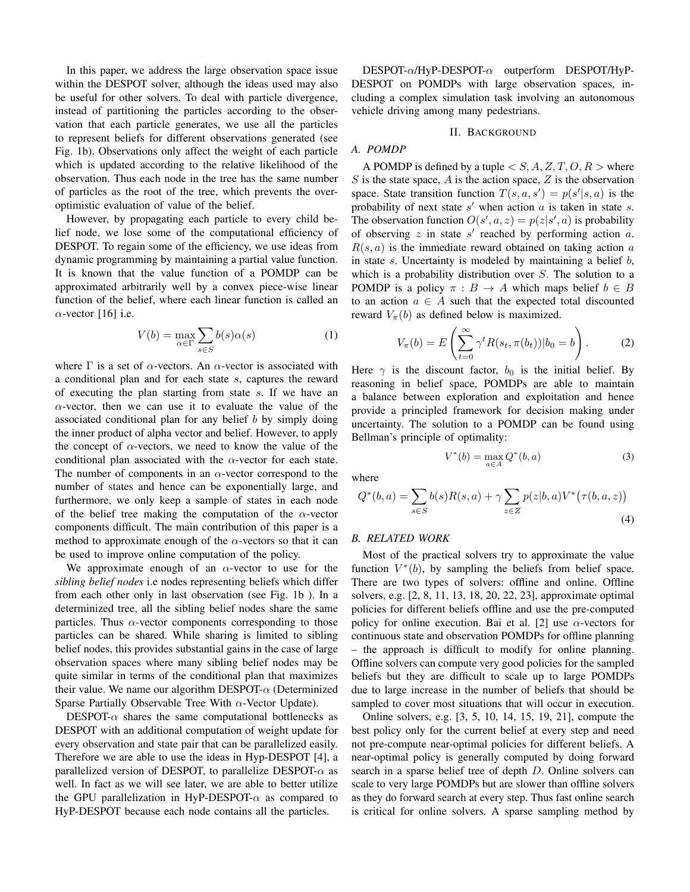In this paper, we address the large observation space issue within the DESPOT solver, although the ideas used may also be useful for other solvers. To deal with particle divergence, instead of partitioning the particles according to the observation that each particle generates, we use all the particles to represent beliefs for different observations generated (see Fig. 1b). Observations only affect the weight of each particle which is updated according to the relative likelihood of the observation. Thus each node in the tree has the same number of particles as the root of the tree, which prevents the overoptimistic evaluation of value of the belief.

However, by propagating each particle to every child belief node, we lose some of the computational efficiency of DESPOT. To regain some of the efficiency, we use ideas from dynamic programming by maintaining a partial value function. It is known that the value function of a POMDP can be approximated arbitrarily well by a convex piece-wise linear function of the belief, where each linear function is called an  $\alpha$ -vector [16] i.e.

$$
V(b) = \max_{\alpha \in \Gamma} \sum_{s \in S} b(s)\alpha(s)
$$
 (1)

where  $\Gamma$  is a set of  $\alpha$ -vectors. An  $\alpha$ -vector is associated with a conditional plan and for each state s, captures the reward of executing the plan starting from state s. If we have an  $\alpha$ -vector, then we can use it to evaluate the value of the associated conditional plan for any belief  $b$  by simply doing the inner product of alpha vector and belief. However, to apply the concept of  $\alpha$ -vectors, we need to know the value of the conditional plan associated with the  $\alpha$ -vector for each state. The number of components in an  $\alpha$ -vector correspond to the number of states and hence can be exponentially large, and furthermore, we only keep a sample of states in each node of the belief tree making the computation of the  $\alpha$ -vector components difficult. The main contribution of this paper is a method to approximate enough of the  $\alpha$ -vectors so that it can be used to improve online computation of the policy.

We approximate enough of an  $\alpha$ -vector to use for the sibling belief nodes i.e nodes representing beliefs which differ from each other only in last observation (see Fig. 1b). In a determinized tree, all the sibling belief nodes share the same particles. Thus  $\alpha$ -vector components corresponding to those particles can be shared. While sharing is limited to sibling belief nodes, this provides substantial gains in the case of large observation spaces where many sibling belief nodes may be quite similar in terms of the conditional plan that maximizes their value. We name our algorithm DESPOT- $\alpha$  (Determinized Sparse Partially Observable Tree With  $\alpha$ -Vector Update).

DESPOT- $\alpha$  shares the same computational bottlenecks as DESPOT with an additional computation of weight update for every observation and state pair that can be parallelized easily. Therefore we are able to use the ideas in Hyp-DESPOT [4], a parallelized version of DESPOT, to parallelize DESPOT- $\alpha$  as well. In fact as we will see later, we are able to better utilize the GPU parallelization in HyP-DESPOT- $\alpha$  as compared to HyP-DESPOT because each node contains all the particles.

 $DESPOT-\alpha/HyP-DESPOT-\alpha$  outperform  $DESPOT/HVP-$ DESPOT on POMDPs with large observation spaces, including a complex simulation task involving an autonomous vehicle driving among many pedestrians.

#### **II. BACKGROUND**

# A. POMDP

A POMDP is defined by a tuple  $\langle S, A, Z, T, O, R \rangle$  where  $S$  is the state space,  $A$  is the action space,  $Z$  is the observation space. State transition function  $T(s, a, s') = p(s'|s, a)$  is the probability of next state  $s'$  when action  $a$  is taken in state  $s$ . The observation function  $O(s', a, z) = p(z|s', a)$  is probability of observing  $z$  in state  $s'$  reached by performing action  $a$ .  $R(s, a)$  is the immediate reward obtained on taking action a in state  $s$ . Uncertainty is modeled by maintaining a belief  $b$ , which is a probability distribution over  $S$ . The solution to a POMDP is a policy  $\pi : B \to A$  which maps belief  $b \in B$ to an action  $a \in A$  such that the expected total discounted reward  $V_{\pi}(b)$  as defined below is maximized.

$$
V_{\pi}(b) = E\left(\sum_{t=0}^{\infty} \gamma^t R(s_t, \pi(b_t)) | b_0 = b\right).
$$
 (2)

Here  $\gamma$  is the discount factor,  $b_0$  is the initial belief. By reasoning in belief space, POMDPs are able to maintain a balance between exploration and exploitation and hence provide a principled framework for decision making under uncertainty. The solution to a POMDP can be found using Bellman's principle of optimality:

$$
V^*(b) = \max_{a \in A} Q^*(b, a) \tag{3}
$$

where

$$
Q^*(b, a) = \sum_{s \in S} b(s)R(s, a) + \gamma \sum_{z \in Z} p(z|b, a)V^*(\tau(b, a, z))
$$
\n(4)

# **B. RELATED WORK**

Most of the practical solvers try to approximate the value function  $V^*(b)$ , by sampling the beliefs from belief space. There are two types of solvers: offline and online. Offline solvers, e.g. [2, 8, 11, 13, 18, 20, 22, 23], approximate optimal policies for different beliefs offline and use the pre-computed policy for online execution. Bai et al. [2] use  $\alpha$ -vectors for continuous state and observation POMDPs for offline planning - the approach is difficult to modify for online planning. Offline solvers can compute very good policies for the sampled beliefs but they are difficult to scale up to large POMDPs due to large increase in the number of beliefs that should be sampled to cover most situations that will occur in execution.

Online solvers, e.g. [3, 5, 10, 14, 15, 19, 21], compute the best policy only for the current belief at every step and need not pre-compute near-optimal policies for different beliefs. A near-optimal policy is generally computed by doing forward search in a sparse belief tree of depth D. Online solvers can scale to very large POMDPs but are slower than offline solvers as they do forward search at every step. Thus fast online search is critical for online solvers. A sparse sampling method by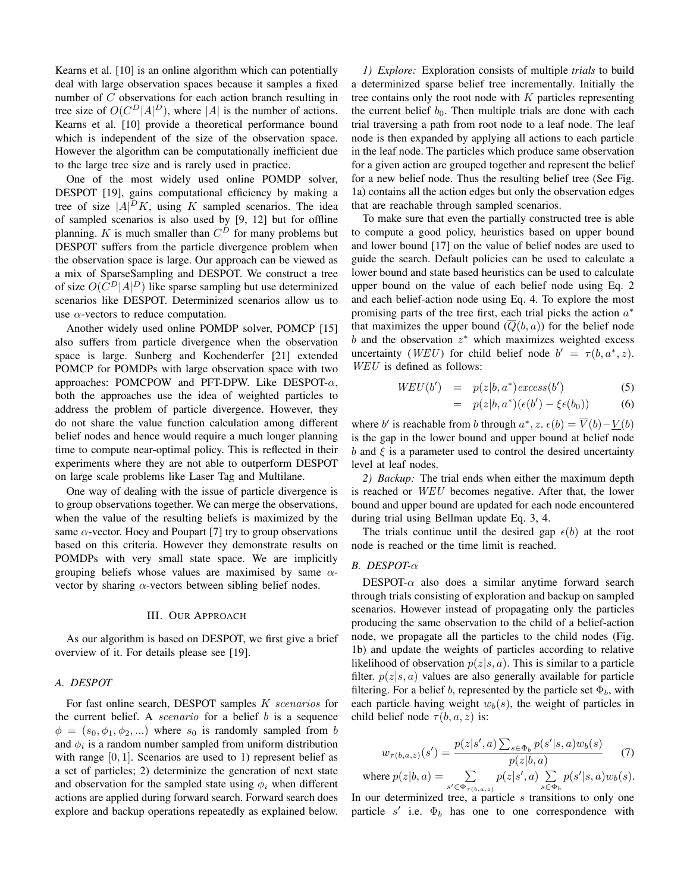Kearns et al. [10] is an online algorithm which can potentially deal with large observation spaces because it samples a fixed number of  $C$  observations for each action branch resulting in tree size of  $O(C^D|A|^D)$ , where |A| is the number of actions. Kearns et al. [10] provide a theoretical performance bound which is independent of the size of the observation space. However the algorithm can be computationally inefficient due to the large tree size and is rarely used in practice.

One of the most widely used online POMDP solver, DESPOT [19], gains computational efficiency by making a tree of size  $|A|^D K$ , using K sampled scenarios. The idea of sampled scenarios is also used by [9, 12] but for offline planning. K is much smaller than  $C^D$  for many problems but DESPOT suffers from the particle divergence problem when the observation space is large. Our approach can be viewed as a mix of SparseSampling and DESPOT. We construct a tree of size  $O(C^D |A|^D)$  like sparse sampling but use determinized scenarios like DESPOT. Determinized scenarios allow us to use  $\alpha$ -vectors to reduce computation.

Another widely used online POMDP solver, POMCP [15] also suffers from particle divergence when the observation space is large. Sunberg and Kochenderfer [21] extended POMCP for POMDPs with large observation space with two approaches: POMCPOW and PFT-DPW. Like DESPOT- $\alpha$ , both the approaches use the idea of weighted particles to address the problem of particle divergence. However, they do not share the value function calculation among different belief nodes and hence would require a much longer planning time to compute near-optimal policy. This is reflected in their experiments where they are not able to outperform DESPOT on large scale problems like Laser Tag and Multilane.

One way of dealing with the issue of particle divergence is to group observations together. We can merge the observations, when the value of the resulting beliefs is maximized by the same  $\alpha$ -vector. Hoey and Poupart [7] try to group observations based on this criteria. However they demonstrate results on POMDPs with very small state space. We are implicitly grouping beliefs whose values are maximised by same  $\alpha$ vector by sharing  $\alpha$ -vectors between sibling belief nodes.

#### **III. OUR APPROACH**

As our algorithm is based on DESPOT, we first give a brief overview of it. For details please see [19].

### A. DESPOT

For fast online search, DESPOT samples K scenarios for the current belief. A *scenario* for a belief  $b$  is a sequence  $\phi = (s_0, \phi_1, \phi_2, ...)$  where  $s_0$  is randomly sampled from b and  $\phi_i$  is a random number sampled from uniform distribution with range  $[0, 1]$ . Scenarios are used to 1) represent belief as a set of particles; 2) determinize the generation of next state and observation for the sampled state using  $\phi_i$  when different actions are applied during forward search. Forward search does explore and backup operations repeatedly as explained below.

1) *Explore:* Exploration consists of multiple *trials* to build a determinized sparse belief tree incrementally. Initially the tree contains only the root node with  $K$  particles representing the current belief  $b_0$ . Then multiple trials are done with each trial traversing a path from root node to a leaf node. The leaf node is then expanded by applying all actions to each particle in the leaf node. The particles which produce same observation for a given action are grouped together and represent the belief for a new belief node. Thus the resulting belief tree (See Fig. 1a) contains all the action edges but only the observation edges that are reachable through sampled scenarios.

To make sure that even the partially constructed tree is able to compute a good policy, heuristics based on upper bound and lower bound [17] on the value of belief nodes are used to guide the search. Default policies can be used to calculate a lower bound and state based heuristics can be used to calculate upper bound on the value of each belief node using Eq. 2 and each belief-action node using Eq. 4. To explore the most promising parts of the tree first, each trial picks the action  $a^*$ that maximizes the upper bound  $(Q(b, a))$  for the belief node  $b$  and the observation  $z^*$  which maximizes weighted excess uncertainty (*WEU*) for child belief node  $b' = \tau(b, a^*, z)$ . WEU is defined as follows:

$$
WEU(b') = p(z|b, a^*)excess(b')
$$
 (5)

$$
= p(z|b, a^*)(\epsilon(b') - \xi \epsilon(b_0)) \tag{6}
$$

where b' is reachable from b through  $a^*$ ,  $z$ .  $\epsilon(b) = \overline{V}(b) - V(b)$ is the gap in the lower bound and upper bound at belief node b and  $\xi$  is a parameter used to control the desired uncertainty level at leaf nodes.

2) Backup: The trial ends when either the maximum depth is reached or *WEU* becomes negative. After that, the lower bound and upper bound are updated for each node encountered during trial using Bellman update Eq. 3, 4.

The trials continue until the desired gap  $\epsilon(b)$  at the root node is reached or the time limit is reached.

## $B.$  DESPOT- $\alpha$

DESPOT- $\alpha$  also does a similar anytime forward search through trials consisting of exploration and backup on sampled scenarios. However instead of propagating only the particles producing the same observation to the child of a belief-action node, we propagate all the particles to the child nodes (Fig. 1b) and update the weights of particles according to relative likelihood of observation  $p(z|s, a)$ . This is similar to a particle filter.  $p(z|s, a)$  values are also generally available for particle filtering. For a belief b, represented by the particle set  $\Phi_b$ , with each particle having weight  $w_b(s)$ , the weight of particles in child belief node  $\tau(b, a, z)$  is:

$$
w_{\tau(b,a,z)}(s') = \frac{p(z|s',a)\sum_{s \in \Phi_b} p(s'|s,a)w_b(s)}{p(z|b,a)} \tag{7}
$$

where  $p(z|b,a) = \sum\limits_{s' \in \Phi_{\tau(b,a,z)}} p(z|s',a) \sum\limits_{s \in \Phi_b} p(s'|s,a) w_b(s).$ 

In our determinized tree, a particle  $s$  transitions to only one particle  $s'$  i.e.  $\Phi_b$  has one to one correspondence with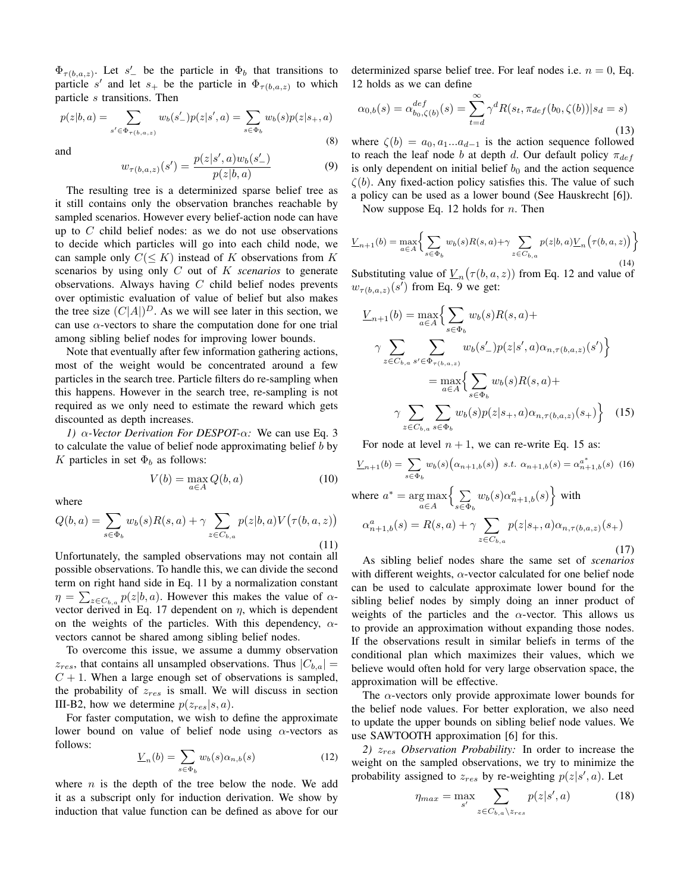$\Phi_{\tau(b,a,z)}$ . Let s' be the particle in  $\Phi_b$  that transitions to particle s' and let  $s_+$  be the particle in  $\Phi_{\tau(b,a,z)}$  to which particle s transitions. Then

$$
p(z|b, a) = \sum_{s' \in \Phi_{\tau(b, a, z)}} w_b(s'_{-}) p(z|s', a) = \sum_{s \in \Phi_b} w_b(s) p(z|s_{+}, a)
$$
\n(8)

and

$$
w_{\tau(b,a,z)}(s') = \frac{p(z|s',a)w_b(s'_-)}{p(z|b,a)}
$$
(9)

The resulting tree is a determinized sparse belief tree as it still contains only the observation branches reachable by sampled scenarios. However every belief-action node can have up to  $C$  child belief nodes: as we do not use observations to decide which particles will go into each child node, we can sample only  $C(\leq K)$  instead of K observations from K scenarios by using only  $C$  out of  $K$  scenarios to generate observations. Always having  $C$  child belief nodes prevents over optimistic evaluation of value of belief but also makes the tree size  $(C|A|)^D$ . As we will see later in this section, we can use  $\alpha$ -vectors to share the computation done for one trial among sibling belief nodes for improving lower bounds.

Note that eventually after few information gathering actions, most of the weight would be concentrated around a few particles in the search tree. Particle filters do re-sampling when this happens. However in the search tree, re-sampling is not required as we only need to estimate the reward which gets discounted as depth increases.

1)  $\alpha$ -Vector Derivation For DESPOT- $\alpha$ : We can use Eq. 3 to calculate the value of belief node approximating belief  $b$  by K particles in set  $\Phi_b$  as follows:

$$
V(b) = \max_{a \in A} Q(b, a)
$$
 (10)

where

$$
Q(b,a) = \sum_{s \in \Phi_b} w_b(s)R(s,a) + \gamma \sum_{z \in C_{b,a}} p(z|b,a)V(\tau(b,a,z))
$$
\n(11)

Unfortunately, the sampled observations may not contain all possible observations. To handle this, we can divide the second term on right hand side in Eq. 11 by a normalization constant  $\eta = \sum_{z \in C_{b,a}} p(z|b, a)$ . However this makes the value of  $\alpha$ vector derived in Eq. 17 dependent on  $\eta$ , which is dependent on the weights of the particles. With this dependency,  $\alpha$ vectors cannot be shared among sibling belief nodes.

To overcome this issue, we assume a dummy observation  $z_{res}$ , that contains all unsampled observations. Thus  $|C_{b,a}| =$  $C + 1$ . When a large enough set of observations is sampled, the probability of  $z_{res}$  is small. We will discuss in section III-B2, how we determine  $p(z_{res}|s, a)$ .

For faster computation, we wish to define the approximate lower bound on value of belief node using  $\alpha$ -vectors as follows:

$$
\underline{V}_n(b) = \sum_{s \in \Phi_b} w_b(s) \alpha_{n,b}(s) \tag{12}
$$

where  $n$  is the depth of the tree below the node. We add it as a subscript only for induction derivation. We show by induction that value function can be defined as above for our determinized sparse belief tree. For leaf nodes i.e.  $n = 0$ , Eq. 12 holds as we can define

$$
\alpha_{0,b}(s) = \alpha_{b_0,\zeta(b)}^{def}(s) = \sum_{t=d}^{\infty} \gamma^d R(s_t, \pi_{def}(b_0, \zeta(b)) | s_d = s)
$$
\n(13)

where  $\zeta(b) = a_0, a_1...a_{d-1}$  is the action sequence followed to reach the leaf node b at depth d. Our default policy  $\pi_{def}$ is only dependent on initial belief  $b_0$  and the action sequence  $\zeta(b)$ . Any fixed-action policy satisfies this. The value of such a policy can be used as a lower bound (See Hauskrecht [6]).

Now suppose Eq. 12 holds for  $n$ . Then

$$
\underline{V}_{n+1}(b) = \max_{a \in A} \bigg\{ \sum_{s \in \Phi_b} w_b(s) R(s, a) + \gamma \sum_{z \in C_{b,a}} p(z|b, a) \underline{V}_n \Big( \tau(b, a, z) \Big) \bigg\}
$$

Substituting value of  $\underline{V}_n(\tau(b,a,z))$  from Eq. 12 and value of  $w_{\tau(b,a,z)}(s')$  from Eq. 9 we get:

$$
\underline{V}_{n+1}(b) = \max_{a \in A} \Big\{ \sum_{s \in \Phi_b} w_b(s) R(s, a) +
$$
\n
$$
\gamma \sum_{z \in C_{b,a}} \sum_{s' \in \Phi_{\tau(b,a,z)}} w_b(s') p(z|s', a) \alpha_{n,\tau(b,a,z)}(s') \Big\}
$$
\n
$$
= \max_{a \in A} \Big\{ \sum_{s \in \Phi_b} w_b(s) R(s, a) +
$$
\n
$$
\gamma \sum_{z \in C_{b,a}} \sum_{s \in \Phi_b} w_b(s) p(z|s_+, a) \alpha_{n,\tau(b,a,z)}(s_+) \Big\} \quad (15)
$$

For node at level  $n + 1$ , we can re-write Eq. 15 as:

$$
\underline{V}_{n+1}(b) = \sum_{s \in \Phi_b} w_b(s) (\alpha_{n+1,b}(s)) \ s.t. \ \alpha_{n+1,b}(s) = \alpha_{n+1,b}^{a^*}(s) \tag{16}
$$
\nwhere  $a^* = \arg \max_{a \in A} \left\{ \sum_{s \in \Phi_b} w_b(s) \alpha_{n+1,b}^a(s) \right\}$  with\n
$$
\alpha_{n+1,b}^a(s) = R(s,a) + \gamma \sum_{z \in C_{b,a}} p(z|s_+,a) \alpha_{n,\tau(b,a,z)}(s_+)
$$
\n(17)

As sibling belief nodes share the same set of *scenarios* with different weights,  $\alpha$ -vector calculated for one belief node can be used to calculate approximate lower bound for the sibling belief nodes by simply doing an inner product of weights of the particles and the  $\alpha$ -vector. This allows us to provide an approximation without expanding those nodes. If the observations result in similar beliefs in terms of the conditional plan which maximizes their values, which we believe would often hold for very large observation space, the approximation will be effective.

The  $\alpha$ -vectors only provide approximate lower bounds for the belief node values. For better exploration, we also need to update the upper bounds on sibling belief node values. We use SAWTOOTH approximation [6] for this.

2)  $z_{res}$  Observation Probability: In order to increase the weight on the sampled observations, we try to minimize the probability assigned to  $z_{res}$  by re-weighting  $p(z|s', a)$ . Let

$$
\eta_{max} = \max_{s'} \sum_{z \in C_{b,a} \setminus z_{res}} p(z|s', a)
$$
 (18)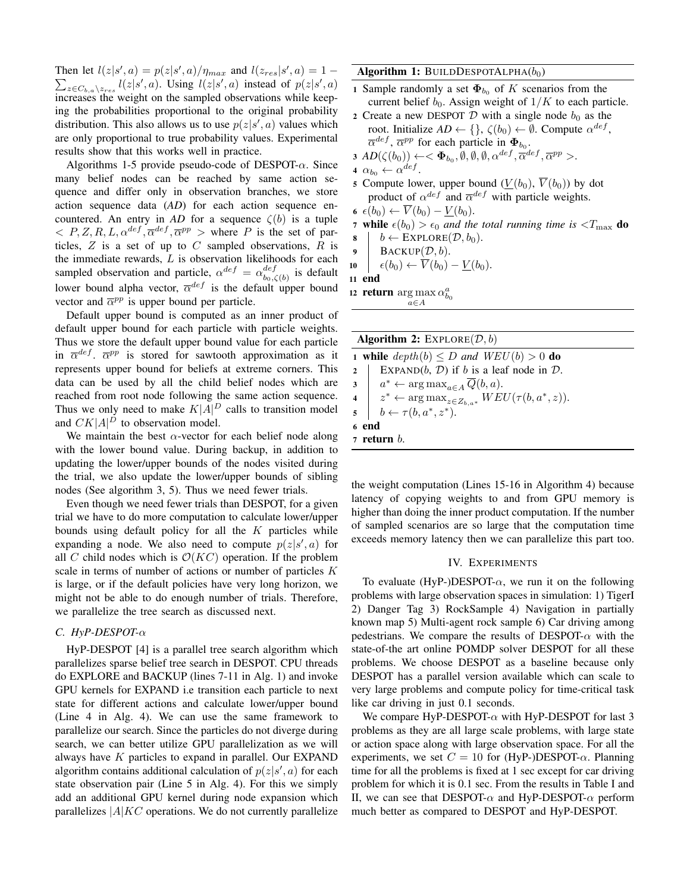Then let  $l(z|s', a) = p(z|s', a)/\eta_{max}$  and  $l(z_{res}|s', a) = 1 \sum_{z \in C_{b,a}\setminus z_{res}} l(z|s',a)$ . Using  $l(z|s',a)$  instead of  $p(z|s',a)$ increases the weight on the sampled observations while keeping the probabilities proportional to the original probability distribution. This also allows us to use  $p(z|s', a)$  values which are only proportional to true probability values. Experimental results show that this works well in practice.

Algorithms 1-5 provide pseudo-code of DESPOT- $\alpha$ . Since many belief nodes can be reached by same action sequence and differ only in observation branches, we store action sequence data  $(AD)$  for each action sequence encountered. An entry in AD for a sequence  $\zeta(b)$  is a tuple  $\langle P, Z, R, L, \alpha^{def}, \overline{\alpha}^{def}, \overline{\alpha}^{pp} \rangle$  where P is the set of particles,  $Z$  is a set of up to  $C$  sampled observations,  $R$  is the immediate rewards,  $L$  is observation likelihoods for each sampled observation and particle,  $\alpha^{def} = \alpha_{b_0, \zeta(b)}^{def}$  is default lower bound alpha vector,  $\overline{\alpha}^{def}$  is the default upper bound vector and  $\overline{\alpha}^{pp}$  is upper bound per particle.

Default upper bound is computed as an inner product of default upper bound for each particle with particle weights. Thus we store the default upper bound value for each particle in  $\overline{\alpha}^{def}$ .  $\overline{\alpha}^{pp}$  is stored for sawtooth approximation as it represents upper bound for beliefs at extreme corners. This data can be used by all the child belief nodes which are reached from root node following the same action sequence. Thus we only need to make  $K|\vec{A}|^D$  calls to transition model and  $CK|A|^D$  to observation model.

We maintain the best  $\alpha$ -vector for each belief node along with the lower bound value. During backup, in addition to updating the lower/upper bounds of the nodes visited during the trial, we also update the lower/upper bounds of sibling nodes (See algorithm 3, 5). Thus we need fewer trials.

Even though we need fewer trials than DESPOT, for a given trial we have to do more computation to calculate lower/upper bounds using default policy for all the  $K$  particles while expanding a node. We also need to compute  $p(z|s', a)$  for all C child nodes which is  $\mathcal{O}(KC)$  operation. If the problem scale in terms of number of actions or number of particles  $K$ is large, or if the default policies have very long horizon, we might not be able to do enough number of trials. Therefore, we parallelize the tree search as discussed next.

# C. HyP-DESPOT- $\alpha$

HyP-DESPOT [4] is a parallel tree search algorithm which parallelizes sparse belief tree search in DESPOT. CPU threads do EXPLORE and BACKUP (lines 7-11 in Alg. 1) and invoke GPU kernels for EXPAND i.e transition each particle to next state for different actions and calculate lower/upper bound (Line 4 in Alg. 4). We can use the same framework to parallelize our search. Since the particles do not diverge during search, we can better utilize GPU parallelization as we will always have K particles to expand in parallel. Our EXPAND algorithm contains additional calculation of  $p(z|s', a)$  for each state observation pair (Line 5 in Alg. 4). For this we simply add an additional GPU kernel during node expansion which parallelizes  $|A| K C$  operations. We do not currently parallelize Algorithm 1: BUILDDESPOTALPHA $(b_0)$ 

- 1 Sample randomly a set  $\Phi_{b_0}$  of K scenarios from the current belief  $b_0$ . Assign weight of  $1/K$  to each particle.
- 2 Create a new DESPOT  $D$  with a single node  $b_0$  as the root. Initialize  $AD \leftarrow \{\}, \zeta(b_0) \leftarrow \emptyset$ . Compute  $\alpha^{def}$ ,  $\overline{\alpha}^{def}$ ,  $\overline{\alpha}^{pp}$  for each particle in  $\Phi_{b_0}$ .
- 3  $AD(\zeta(b_0)) \leftarrow \langle \Phi_{b_0}, \emptyset, \emptyset, \emptyset, \alpha^{def}, \overline{\alpha}^{def}, \overline{\alpha}^{pp} \rangle.$

4  $\alpha_{b_0} \leftarrow \alpha^{def}$ .

5 Compute lower, upper bound  $(\underline{V}(b_0), \overline{V}(b_0))$  by dot product of  $\alpha^{def}$  and  $\overline{\alpha}^{def}$  with particle weights.  $\overline{\mathbf{v}}(h_0) \leftarrow \overline{V}(h_0) - V(h_0)$ 

$$
\mathbf{6} \ \epsilon(\mathbf{0}_0) \leftarrow \mathbf{v} \ (\mathbf{0}_0) - \mathbf{v} \ (\mathbf{0}_0)
$$

7 while  $\epsilon(b_0) > \epsilon_0$  and the total running time is  $\epsilon T_{\text{max}}$  do  $b \leftarrow$  EXPLORE $(\mathcal{D}, b_0)$ . 8

9  $\text{BACKUP}(\mathcal{D}, b)$ .

$$
10 \quad \epsilon(b_0) \leftarrow \overline{V}(b_0) - V(b_0)
$$

11 end

12 **return** arg max  $\alpha_{b_0}^a$ 

 $a \in A$ 

| <b>Algorithm 2:</b> EXPLORE( $D, b$ ) |                                                                               |  |  |
|---------------------------------------|-------------------------------------------------------------------------------|--|--|
|                                       | <b>1 while</b> $depth(b) \leq D$ and $WEU(b) > 0$ <b>do</b>                   |  |  |
|                                       | EXPAND $(b, \mathcal{D})$ if b is a leaf node in $\mathcal{D}$ .<br>2 $\vert$ |  |  |
|                                       | $3 \mid a^* \leftarrow \arg \max_{a \in A} \overline{Q}(b, a).$               |  |  |
|                                       | 4 $z^* \leftarrow \arg \max_{z \in Z_{h,a^*}} WEU(\tau(b,a^*,z)).$            |  |  |
|                                       | $5 \mid b \leftarrow \tau(b, a^*, z^*).$                                      |  |  |
|                                       | 6 end                                                                         |  |  |
|                                       | $\,$ 7 return $b.$                                                            |  |  |

the weight computation (Lines 15-16 in Algorithm 4) because latency of copying weights to and from GPU memory is higher than doing the inner product computation. If the number of sampled scenarios are so large that the computation time exceeds memory latency then we can parallelize this part too.

#### IV. EXPERIMENTS

To evaluate (HyP-)DESPOT- $\alpha$ , we run it on the following problems with large observation spaces in simulation: 1) TigerI 2) Danger Tag 3) RockSample 4) Navigation in partially known map 5) Multi-agent rock sample 6) Car driving among pedestrians. We compare the results of DESPOT- $\alpha$  with the state-of-the art online POMDP solver DESPOT for all these problems. We choose DESPOT as a baseline because only DESPOT has a parallel version available which can scale to very large problems and compute policy for time-critical task like car driving in just 0.1 seconds.

We compare HyP-DESPOT- $\alpha$  with HyP-DESPOT for last 3 problems as they are all large scale problems, with large state or action space along with large observation space. For all the experiments, we set  $C = 10$  for (HyP-)DESPOT- $\alpha$ . Planning time for all the problems is fixed at 1 sec except for car driving problem for which it is 0.1 sec. From the results in Table I and II, we can see that DESPOT- $\alpha$  and HyP-DESPOT- $\alpha$  perform much better as compared to DESPOT and HyP-DESPOT.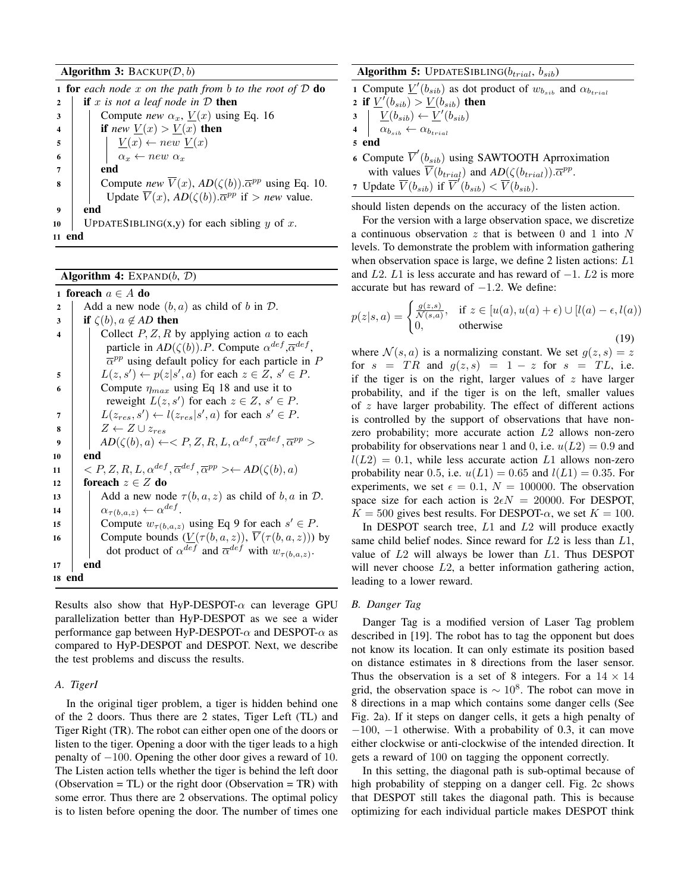## Algorithm 3: BACKUP $(D, b)$

|              | <b>1 for</b> each node x on the path from b to the root of $D$ do                              |  |  |  |  |
|--------------|------------------------------------------------------------------------------------------------|--|--|--|--|
| $\mathbf{2}$ | if x is not a leaf node in $D$ then                                                            |  |  |  |  |
| 3            | Compute <i>new</i> $\alpha_x$ , $\underline{V}(x)$ using Eq. 16                                |  |  |  |  |
|              | if new $\underline{V}(x) > \underline{V}(x)$ then                                              |  |  |  |  |
| 5            | $\underline{V}(x) \leftarrow new \underline{V}(x)$                                             |  |  |  |  |
| 6            | $\alpha_x \leftarrow new \alpha_x$                                                             |  |  |  |  |
|              | end                                                                                            |  |  |  |  |
| 8            | Compute <i>new</i> $\overline{V}(x)$ , $AD(\zeta(b))$ . $\overline{\alpha}^{pp}$ using Eq. 10. |  |  |  |  |
|              | Update $\overline{V}(x)$ , $AD(\zeta(b))$ . $\overline{\alpha}^{pp}$ if > new value.           |  |  |  |  |
| 9            | end                                                                                            |  |  |  |  |
| 10           | UPDATESIBLING(x,y) for each sibling $y$ of $x$ .                                               |  |  |  |  |
| 11           |                                                                                                |  |  |  |  |

Algorithm 4:  $EXPAND(b, D)$ 

1 foreach  $a \in A$  do Add a new node  $(b, a)$  as child of b in  $D$ .  $\overline{2}$  $\overline{\mathbf{3}}$ if  $\zeta(b)$ ,  $a \notin AD$  then Collect  $P, Z, R$  by applying action  $\alpha$  to each  $\overline{4}$ particle in  $AD(\zeta(b))$ . P. Compute  $\alpha^{def}, \overline{\alpha}^{def}$ ,  $\overline{\alpha}^{pp}$  using default policy for each particle in P  $L(z, s') \leftarrow p(z|s', a)$  for each  $z \in Z$ ,  $s' \in P$ . 5 Compute  $\eta_{max}$  using Eq 18 and use it to 6 reweight  $L(z, s')$  for each  $z \in Z$ ,  $s' \in P$ .  $L(z_{res}, s') \leftarrow l(z_{res}|s', a)$  for each  $s' \in P$ .  $\overline{7}$  $Z \leftarrow Z \cup z_{res}$  $\bf{8}$  $AD(\zeta(b),a) \leftarrow$ 9 end  ${\bf 10}$  $\langle P, Z, R, L, \alpha^{def}, \overline{\alpha}^{def}, \overline{\alpha}^{pp} \rangle \leftarrow AD(\zeta(b), a)$ 11 foreach  $z \in Z$  do  $12\,$ Add a new node  $\tau(b, a, z)$  as child of b, a in D. 13  $\alpha_{\tau(b,a,z)} \leftarrow \alpha^{def}$ . 14 Compute  $w_{\tau(b,a,z)}$  using Eq 9 for each  $s' \in P$ . 15 Compute bounds  $(\underline{V}(\tau(b, a, z)), \overline{V}(\tau(b, a, z)))$  by 16 dot product of  $\alpha^{def}$  and  $\overline{\alpha}^{def}$  with  $w_{\tau(b,a,z)}$ . 17 end 18 end

Results also show that HyP-DESPOT- $\alpha$  can leverage GPU parallelization better than HyP-DESPOT as we see a wider performance gap between HyP-DESPOT- $\alpha$  and DESPOT- $\alpha$  as compared to HyP-DESPOT and DESPOT. Next, we describe the test problems and discuss the results.

## A. TigerI

In the original tiger problem, a tiger is hidden behind one of the 2 doors. Thus there are 2 states, Tiger Left (TL) and Tiger Right (TR). The robot can either open one of the doors or listen to the tiger. Opening a door with the tiger leads to a high penalty of  $-100$ . Opening the other door gives a reward of 10. The Listen action tells whether the tiger is behind the left door (Observation = TL) or the right door (Observation = TR) with some error. Thus there are 2 observations. The optimal policy is to listen before opening the door. The number of times one

# Algorithm 5: UPDATESIBLING( $b_{trial}$ ,  $b_{sib}$ )

1 Compute  $\underline{V}'(b_{sib})$  as dot product of  $w_{b_{sib}}$  and  $\alpha_{b_{trial}}$ 

- 2 if  $\underline{V}'(b_{sib}) > \underline{V}(b_{sib})$  then
- $\underline{V}(b_{sib}) \leftarrow \underline{V}'(b_{sib})$  $\overline{\mathbf{3}}$

 $\alpha_{b_{sib}} \leftarrow \alpha_{b_{trial}}$  $\overline{\mathbf{4}}$ 

5 end

6 Compute  $\overline{V}'(b_{sib})$  using SAWTOOTH Aprroximation with values  $\overline{V}(b_{trial})$  and  $AD(\zeta(b_{trial}))\cdot \overline{\alpha}^{pp}$ . 7 Update  $\overline{V}(b_{sib})$  if  $\overline{V}'(b_{sib}) < \overline{V}(b_{sib}).$ 

should listen depends on the accuracy of the listen action.

For the version with a large observation space, we discretize a continuous observation  $z$  that is between 0 and 1 into  $N$ levels. To demonstrate the problem with information gathering when observation space is large, we define 2 listen actions:  $L1$ and L2. L1 is less accurate and has reward of  $-1$ . L2 is more accurate but has reward of  $-1.2$ . We define:

$$
p(z|s, a) = \begin{cases} \frac{g(z, s)}{\mathcal{N}(s, a)}, & \text{if } z \in [u(a), u(a) + \epsilon) \cup [l(a) - \epsilon, l(a)]\\ 0, & \text{otherwise} \end{cases}
$$
(19)

where  $\mathcal{N}(s, a)$  is a normalizing constant. We set  $g(z, s) = z$ for  $s = TR$  and  $g(z, s) = 1 - z$  for  $s = TL$ , i.e. if the tiger is on the right, larger values of  $z$  have larger probability, and if the tiger is on the left, smaller values of  $z$  have larger probability. The effect of different actions is controlled by the support of observations that have nonzero probability; more accurate action  $L2$  allows non-zero probability for observations near 1 and 0, i.e.  $u(L2) = 0.9$  and  $l(L2) = 0.1$ , while less accurate action L1 allows non-zero probability near 0.5, i.e.  $u(L1) = 0.65$  and  $l(L1) = 0.35$ . For experiments, we set  $\epsilon = 0.1$ ,  $N = 100000$ . The observation space size for each action is  $2\epsilon N = 20000$ . For DESPOT,  $K = 500$  gives best results. For DESPOT- $\alpha$ , we set  $K = 100$ .

In DESPOT search tree,  $L1$  and  $L2$  will produce exactly same child belief nodes. Since reward for  $L2$  is less than  $L1$ , value of  $L2$  will always be lower than  $L1$ . Thus DESPOT will never choose  $L2$ , a better information gathering action, leading to a lower reward.

# **B.** Danger Tag

Danger Tag is a modified version of Laser Tag problem described in [19]. The robot has to tag the opponent but does not know its location. It can only estimate its position based on distance estimates in 8 directions from the laser sensor. Thus the observation is a set of 8 integers. For a  $14 \times 14$ grid, the observation space is  $\sim 10^8$ . The robot can move in 8 directions in a map which contains some danger cells (See Fig. 2a). If it steps on danger cells, it gets a high penalty of  $-100$ ,  $-1$  otherwise. With a probability of 0.3, it can move either clockwise or anti-clockwise of the intended direction. It gets a reward of 100 on tagging the opponent correctly.

In this setting, the diagonal path is sub-optimal because of high probability of stepping on a danger cell. Fig. 2c shows that DESPOT still takes the diagonal path. This is because optimizing for each individual particle makes DESPOT think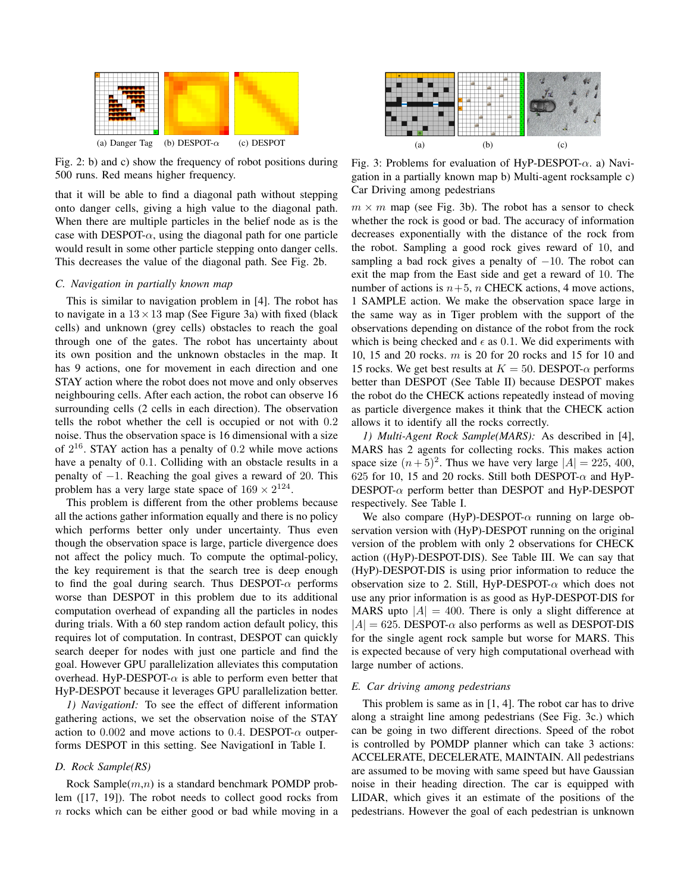

Fig. 2: b) and c) show the frequency of robot positions during 500 runs. Red means higher frequency.

that it will be able to find a diagonal path without stepping onto danger cells, giving a high value to the diagonal path. When there are multiple particles in the belief node as is the case with DESPOT- $\alpha$ , using the diagonal path for one particle would result in some other particle stepping onto danger cells. This decreases the value of the diagonal path. See Fig. 2b.

# C. Navigation in partially known map

This is similar to navigation problem in [4]. The robot has to navigate in a  $13 \times 13$  map (See Figure 3a) with fixed (black cells) and unknown (grey cells) obstacles to reach the goal through one of the gates. The robot has uncertainty about its own position and the unknown obstacles in the map. It has 9 actions, one for movement in each direction and one STAY action where the robot does not move and only observes neighbouring cells. After each action, the robot can observe 16 surrounding cells (2 cells in each direction). The observation tells the robot whether the cell is occupied or not with 0.2 noise. Thus the observation space is 16 dimensional with a size of  $2^{16}$ . STAY action has a penalty of 0.2 while move actions have a penalty of 0.1. Colliding with an obstacle results in a penalty of  $-1$ . Reaching the goal gives a reward of 20. This problem has a very large state space of  $169 \times 2^{124}$ .

This problem is different from the other problems because all the actions gather information equally and there is no policy which performs better only under uncertainty. Thus even though the observation space is large, particle divergence does not affect the policy much. To compute the optimal-policy, the key requirement is that the search tree is deep enough to find the goal during search. Thus DESPOT- $\alpha$  performs worse than DESPOT in this problem due to its additional computation overhead of expanding all the particles in nodes during trials. With a 60 step random action default policy, this requires lot of computation. In contrast, DESPOT can quickly search deeper for nodes with just one particle and find the goal. However GPU parallelization alleviates this computation overhead. HyP-DESPOT- $\alpha$  is able to perform even better that HyP-DESPOT because it leverages GPU parallelization better.

1) Navigation I: To see the effect of different information gathering actions, we set the observation noise of the STAY action to 0.002 and move actions to 0.4. DESPOT- $\alpha$  outperforms DESPOT in this setting. See Navigation Iin Table I.

# D. Rock Sample(RS)

Rock Sample $(m, n)$  is a standard benchmark POMDP problem ([17, 19]). The robot needs to collect good rocks from  $n$  rocks which can be either good or bad while moving in a



Fig. 3: Problems for evaluation of HyP-DESPOT- $\alpha$ . a) Navigation in a partially known map b) Multi-agent rocksample c) Car Driving among pedestrians

 $m \times m$  map (see Fig. 3b). The robot has a sensor to check whether the rock is good or bad. The accuracy of information decreases exponentially with the distance of the rock from the robot. Sampling a good rock gives reward of 10, and sampling a bad rock gives a penalty of  $-10$ . The robot can exit the map from the East side and get a reward of 10. The number of actions is  $n+5$ , n CHECK actions, 4 move actions, 1 SAMPLE action. We make the observation space large in the same way as in Tiger problem with the support of the observations depending on distance of the robot from the rock which is being checked and  $\epsilon$  as 0.1. We did experiments with 10, 15 and 20 rocks.  $m$  is 20 for 20 rocks and 15 for 10 and 15 rocks. We get best results at  $K = 50$ . DESPOT- $\alpha$  performs better than DESPOT (See Table II) because DESPOT makes the robot do the CHECK actions repeatedly instead of moving as particle divergence makes it think that the CHECK action allows it to identify all the rocks correctly.

1) Multi-Agent Rock Sample(MARS): As described in [4], MARS has 2 agents for collecting rocks. This makes action space size  $(n+5)^2$ . Thus we have very large  $|A| = 225, 400$ , 625 for 10, 15 and 20 rocks. Still both DESPOT- $\alpha$  and HyP-DESPOT- $\alpha$  perform better than DESPOT and HyP-DESPOT respectively. See Table I.

We also compare (HyP)-DESPOT- $\alpha$  running on large observation version with (HyP)-DESPOT running on the original version of the problem with only 2 observations for CHECK action ((HyP)-DESPOT-DIS). See Table III. We can say that (HyP)-DESPOT-DIS is using prior information to reduce the observation size to 2. Still, HyP-DESPOT- $\alpha$  which does not use any prior information is as good as HyP-DESPOT-DIS for MARS upto  $|A| = 400$ . There is only a slight difference at  $|A| = 625$ . DESPOT- $\alpha$  also performs as well as DESPOT-DIS for the single agent rock sample but worse for MARS. This is expected because of very high computational overhead with large number of actions.

## E. Car driving among pedestrians

This problem is same as in  $[1, 4]$ . The robot car has to drive along a straight line among pedestrians (See Fig. 3c.) which can be going in two different directions. Speed of the robot is controlled by POMDP planner which can take 3 actions: ACCELERATE, DECELERATE, MAINTAIN. All pedestrians are assumed to be moving with same speed but have Gaussian noise in their heading direction. The car is equipped with LIDAR, which gives it an estimate of the positions of the pedestrians. However the goal of each pedestrian is unknown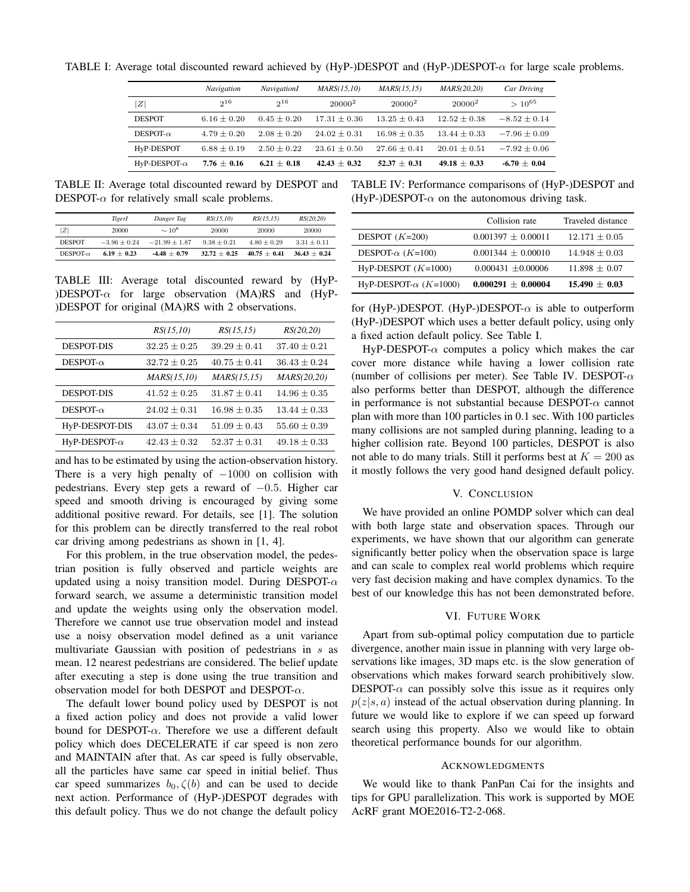TABLE I: Average total discounted reward achieved by (HyP-)DESPOT and (HyP-)DESPOT- $\alpha$  for large scale problems.

|                      | Navigation      | <b>NavigationI</b> | MARS(15,10)    | MARS(15, 15)   | MARS(20.20)      | Car Driving      |
|----------------------|-----------------|--------------------|----------------|----------------|------------------|------------------|
| Z                    | $2^{16}$        | $2^{16}$           | $20000^2$      | $20000^2$      | $20000^2$        | $> 10^{65}$      |
| <b>DESPOT</b>        | $6.16 \pm 0.20$ | $0.45 + 0.20$      | $17.31 + 0.36$ | $13.25 + 0.43$ | $12.52 \pm 0.38$ | $-8.52 \pm 0.14$ |
| $DESPOT-\alpha$      | $4.79 + 0.20$   | $2.08 + 0.20$      | $24.02 + 0.31$ | $16.98 + 0.35$ | $13.44 + 0.33$   | $-7.96 \pm 0.09$ |
| HyP-DESPOT           | $6.88 \pm 0.19$ | $2.50 + 0.22$      | $23.61 + 0.50$ | $27.66 + 0.41$ | $20.01 + 0.51$   | $-7.92 + 0.06$   |
| HyP-DESPOT- $\alpha$ | $7.76 \pm 0.16$ | $6.21 + 0.18$      | $42.43 + 0.32$ | $52.37 + 0.31$ | $49.18 \pm 0.33$ | $-6.70 + 0.04$   |

TABLE II: Average total discounted reward by DESPOT and DESPOT- $\alpha$  for relatively small scale problems.

|                  | TigerI           | Danger Tag      | RS(15.10)       | RS(15.15)       | RS(20, 20)     |
|------------------|------------------|-----------------|-----------------|-----------------|----------------|
| Z                | 20000            | $\sim 10^8$     | 20000           | 20000           | 20000          |
| <b>DESPOT</b>    | $-3.96 \pm 0.24$ | $-21.99 + 1.87$ | $9.38 \pm 0.21$ | $4.80 \pm 0.29$ | $3.31 + 0.11$  |
| DESPOT- $\alpha$ | $6.19 + 0.23$    | $-4.48 + 0.79$  | $32.72 + 0.25$  | $40.75 + 0.41$  | $36.43 + 0.24$ |

TABLE III: Average total discounted reward by (HyP-)DESPOT- $\alpha$  for large observation (MA)RS and (HyP-)DESPOT for original (MA)RS with 2 observations.

|                      | RS(15,10)        | RS(15, 15)       | RS(20,20)        |
|----------------------|------------------|------------------|------------------|
| <b>DESPOT-DIS</b>    | $32.25 \pm 0.25$ | $39.29 \pm 0.41$ | $37.40 \pm 0.21$ |
| DESPOT- $\alpha$     | $32.72 \pm 0.25$ | $40.75 \pm 0.41$ | $36.43 \pm 0.24$ |
|                      | MARS(15,10)      | MARS(15, 15)     | MARS(20,20)      |
| <b>DESPOT-DIS</b>    | $41.52 \pm 0.25$ | $31.87 \pm 0.41$ | $14.96 \pm 0.35$ |
| DESPOT- $\alpha$     | $24.02 \pm 0.31$ | $16.98 \pm 0.35$ | $13.44 \pm 0.33$ |
| HyP-DESPOT-DIS       | $43.07 \pm 0.34$ | $51.09 \pm 0.43$ | $55.60 \pm 0.39$ |
| HyP-DESPOT- $\alpha$ | $42.43 \pm 0.32$ | $52.37 + 0.31$   | $49.18 \pm 0.33$ |

and has to be estimated by using the action-observation history. There is a very high penalty of  $-1000$  on collision with pedestrians. Every step gets a reward of  $-0.5$ . Higher car speed and smooth driving is encouraged by giving some additional positive reward. For details, see [1]. The solution for this problem can be directly transferred to the real robot car driving among pedestrians as shown in  $[1, 4]$ .

For this problem, in the true observation model, the pedestrian position is fully observed and particle weights are updated using a noisy transition model. During DESPOT- $\alpha$ forward search, we assume a deterministic transition model and update the weights using only the observation model. Therefore we cannot use true observation model and instead use a noisy observation model defined as a unit variance multivariate Gaussian with position of pedestrians in  $s$  as mean. 12 nearest pedestrians are considered. The belief update after executing a step is done using the true transition and observation model for both DESPOT and DESPOT- $\alpha$ .

The default lower bound policy used by DESPOT is not a fixed action policy and does not provide a valid lower bound for DESPOT- $\alpha$ . Therefore we use a different default policy which does DECELERATE if car speed is non zero and MAINTAIN after that. As car speed is fully observable, all the particles have same car speed in initial belief. Thus car speed summarizes  $b_0, \zeta(b)$  and can be used to decide next action. Performance of (HyP-)DESPOT degrades with this default policy. Thus we do not change the default policy

TABLE IV: Performance comparisons of (HyP-)DESPOT and (HyP-)DESPOT- $\alpha$  on the autonomous driving task.

|                               | Collision rate         | Traveled distance |
|-------------------------------|------------------------|-------------------|
| DESPOT $(K=200)$              | $0.001397 \pm 0.00011$ | $12.171 \pm 0.05$ |
| DESPOT- $\alpha$ (K=100)      | $0.001344 \pm 0.00010$ | $14.948 \pm 0.03$ |
| $HvP-DESPOT$ ( $K=1000$ )     | $0.000431 \pm 0.00006$ | $11.898 \pm 0.07$ |
| HyP-DESPOT- $\alpha$ (K=1000) | $0.000291 \pm 0.00004$ | $15.490 + 0.03$   |

for (HyP-)DESPOT. (HyP-)DESPOT- $\alpha$  is able to outperform (HyP-)DESPOT which uses a better default policy, using only a fixed action default policy. See Table I.

 $HyP-DESPOT-\alpha$  computes a policy which makes the car cover more distance while having a lower collision rate (number of collisions per meter). See Table IV. DESPOT- $\alpha$ also performs better than DESPOT, although the difference in performance is not substantial because DESPOT- $\alpha$  cannot plan with more than 100 particles in 0.1 sec. With 100 particles many collisions are not sampled during planning, leading to a higher collision rate. Beyond 100 particles, DESPOT is also not able to do many trials. Still it performs best at  $K = 200$  as it mostly follows the very good hand designed default policy.

## V. CONCLUSION

We have provided an online POMDP solver which can deal with both large state and observation spaces. Through our experiments, we have shown that our algorithm can generate significantly better policy when the observation space is large and can scale to complex real world problems which require very fast decision making and have complex dynamics. To the best of our knowledge this has not been demonstrated before.

#### **VI. FUTURE WORK**

Apart from sub-optimal policy computation due to particle divergence, another main issue in planning with very large observations like images, 3D maps etc. is the slow generation of observations which makes forward search prohibitively slow. DESPOT- $\alpha$  can possibly solve this issue as it requires only  $p(z|s, a)$  instead of the actual observation during planning. In future we would like to explore if we can speed up forward search using this property. Also we would like to obtain theoretical performance bounds for our algorithm.

#### **ACKNOWLEDGMENTS**

We would like to thank PanPan Cai for the insights and tips for GPU parallelization. This work is supported by MOE AcRF grant MOE2016-T2-2-068.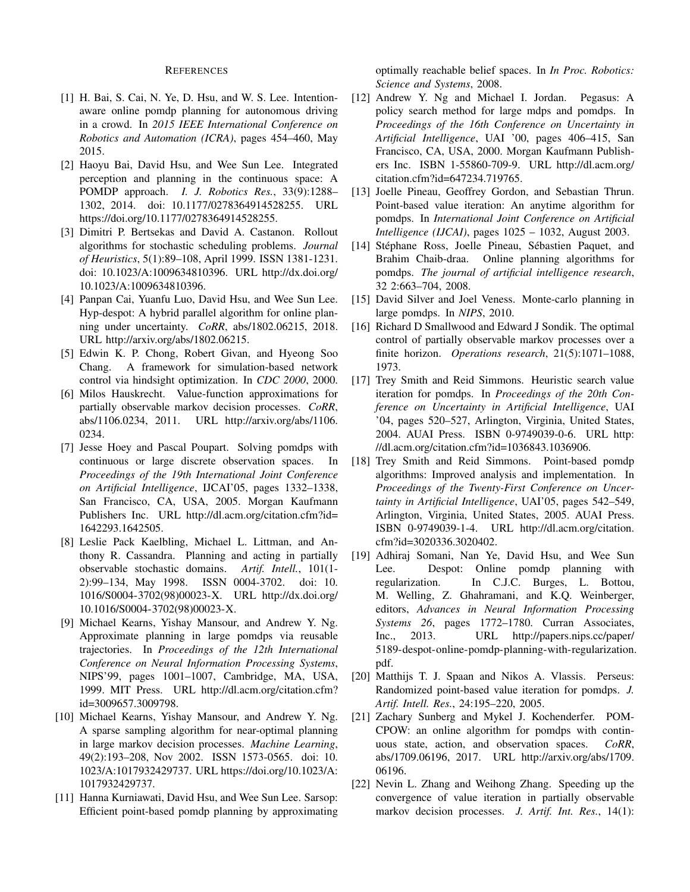#### **REFERENCES**

- [1] H. Bai, S. Cai, N. Ye, D. Hsu, and W. S. Lee. Intentionaware online pomdp planning for autonomous driving in a crowd. In 2015 IEEE International Conference on Robotics and Automation (ICRA), pages 454–460, May 2015.
- [2] Haoyu Bai, David Hsu, and Wee Sun Lee. Integrated perception and planning in the continuous space: A POMDP approach. I. J. Robotics Res., 33(9):1288-1302, 2014. doi: 10.1177/0278364914528255. URL https://doi.org/10.1177/0278364914528255.
- [3] Dimitri P. Bertsekas and David A. Castanon. Rollout algorithms for stochastic scheduling problems. Journal of Heuristics, 5(1):89-108, April 1999. ISSN 1381-1231. doi: 10.1023/A:1009634810396. URL http://dx.doi.org/ 10.1023/A:1009634810396.
- [4] Panpan Cai, Yuanfu Luo, David Hsu, and Wee Sun Lee. Hyp-despot: A hybrid parallel algorithm for online planning under uncertainty. CoRR, abs/1802.06215, 2018. URL http://arxiv.org/abs/1802.06215.
- [5] Edwin K. P. Chong, Robert Givan, and Hyeong Soo Chang. A framework for simulation-based network control via hindsight optimization. In CDC 2000, 2000.
- [6] Milos Hauskrecht. Value-function approximations for partially observable markov decision processes. CoRR, abs/1106.0234, 2011. URL http://arxiv.org/abs/1106. 0234.
- [7] Jesse Hoey and Pascal Poupart. Solving pomdps with continuous or large discrete observation spaces. In Proceedings of the 19th International Joint Conference on Artificial Intelligence, IJCAI'05, pages 1332-1338, San Francisco, CA, USA, 2005. Morgan Kaufmann Publishers Inc. URL http://dl.acm.org/citation.cfm?id= 1642293.1642505.
- [8] Leslie Pack Kaelbling, Michael L. Littman, and Anthony R. Cassandra. Planning and acting in partially observable stochastic domains. Artif. Intell., 101(1-2):99-134, May 1998. ISSN 0004-3702. doi: 10. 1016/S0004-3702(98)00023-X. URL http://dx.doi.org/ 10.1016/S0004-3702(98)00023-X.
- [9] Michael Kearns, Yishay Mansour, and Andrew Y. Ng. Approximate planning in large pomdps via reusable trajectories. In Proceedings of the 12th International Conference on Neural Information Processing Systems, NIPS'99, pages 1001-1007, Cambridge, MA, USA, 1999. MIT Press. URL http://dl.acm.org/citation.cfm? id=3009657.3009798.
- [10] Michael Kearns, Yishay Mansour, and Andrew Y. Ng. A sparse sampling algorithm for near-optimal planning in large markov decision processes. Machine Learning, 49(2):193-208, Nov 2002. ISSN 1573-0565. doi: 10. 1023/A:1017932429737. URL https://doi.org/10.1023/A: 1017932429737.
- [11] Hanna Kurniawati, David Hsu, and Wee Sun Lee. Sarsop: Efficient point-based pomdp planning by approximating

optimally reachable belief spaces. In *In Proc. Robotics:* Science and Systems, 2008.

- [12] Andrew Y. Ng and Michael I. Jordan. Pegasus: A policy search method for large mdps and pomdps. In Proceedings of the 16th Conference on Uncertainty in Artificial Intelligence, UAI '00, pages 406-415, San Francisco, CA, USA, 2000. Morgan Kaufmann Publishers Inc. ISBN 1-55860-709-9. URL http://dl.acm.org/ citation.cfm?id=647234.719765.
- [13] Joelle Pineau, Geoffrey Gordon, and Sebastian Thrun. Point-based value iteration: An anytime algorithm for pomdps. In International Joint Conference on Artificial *Intelligence (IJCAI)*, pages  $1025 - 1032$ , August 2003.
- [14] Stéphane Ross, Joelle Pineau, Sébastien Paquet, and Brahim Chaib-draa. Online planning algorithms for pomdps. The journal of artificial intelligence research, 32 2:663-704, 2008.
- [15] David Silver and Joel Veness. Monte-carlo planning in large pomdps. In NIPS, 2010.
- [16] Richard D Smallwood and Edward J Sondik. The optimal control of partially observable markov processes over a finite horizon. Operations research, 21(5):1071-1088, 1973.
- [17] Trey Smith and Reid Simmons. Heuristic search value iteration for pomdps. In *Proceedings of the 20th Con*ference on Uncertainty in Artificial Intelligence, UAI '04, pages 520-527, Arlington, Virginia, United States, 2004. AUAI Press. ISBN 0-9749039-0-6. URL http: //dl.acm.org/citation.cfm?id=1036843.1036906.
- [18] Trey Smith and Reid Simmons. Point-based pomdp algorithms: Improved analysis and implementation. In Proceedings of the Twenty-First Conference on Uncertainty in Artificial Intelligence, UAI'05, pages 542-549, Arlington, Virginia, United States, 2005. AUAI Press. ISBN 0-9749039-1-4. URL http://dl.acm.org/citation. cfm?id=3020336.3020402.
- [19] Adhiraj Somani, Nan Ye, David Hsu, and Wee Sun Despot: Online pomdp planning with Lee. regularization. In C.J.C. Burges, L. Bottou, M. Welling, Z. Ghahramani, and K.Q. Weinberger, editors, Advances in Neural Information Processing Systems 26, pages 1772-1780. Curran Associates, Inc., 2013. URL http://papers.nips.cc/paper/ 5189-despot-online-pomdp-planning-with-regularization. pdf.
- [20] Matthijs T. J. Spaan and Nikos A. Vlassis. Perseus: Randomized point-based value iteration for pomdps. J. Artif. Intell. Res., 24:195-220, 2005.
- [21] Zachary Sunberg and Mykel J. Kochenderfer. POM-CPOW: an online algorithm for pomdps with continuous state, action, and observation spaces.  $CoRR$ , abs/1709.06196, 2017. URL http://arxiv.org/abs/1709. 06196.
- $\lceil 22 \rceil$ Nevin L. Zhang and Weihong Zhang. Speeding up the convergence of value iteration in partially observable markov decision processes. J. Artif. Int. Res., 14(1):